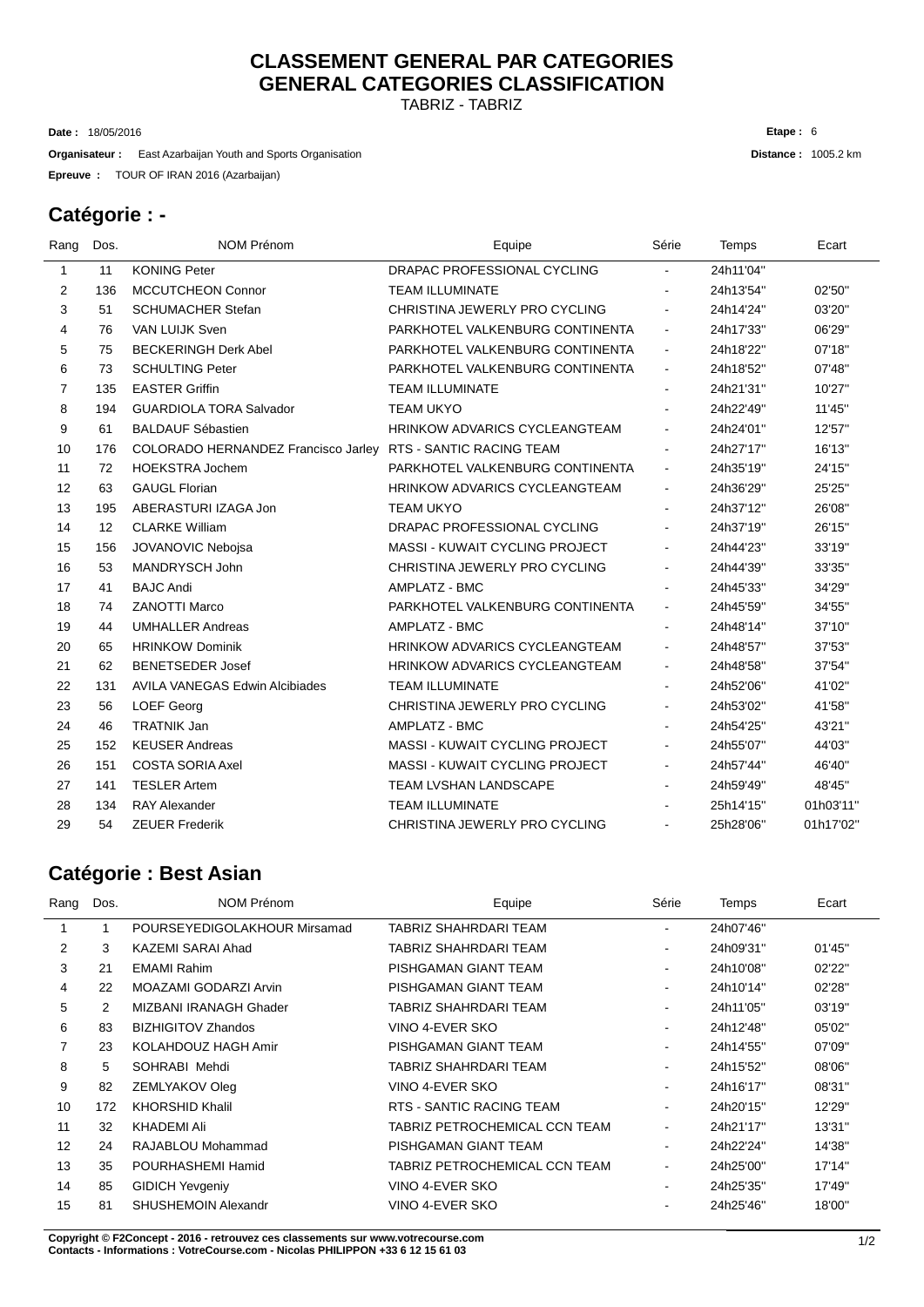# **CLASSEMENT GENERAL PAR CATEGORIES GENERAL CATEGORIES CLASSIFICATION**

TABRIZ - TABRIZ

18/05/2016 **Date :**

TOUR OF IRAN 2016 (Azarbaijan) **Epreuve : Organisateur** : East Azarbaijan Youth and Sports Organisation **Distance :** 1005.2 km **Etape :** 6

### **Catégorie : -**

| Rang           | Dos.              | NOM Prénom                            | Equipe                                | Série          | Temps     | Ecart     |
|----------------|-------------------|---------------------------------------|---------------------------------------|----------------|-----------|-----------|
| $\mathbf{1}$   | 11                | <b>KONING Peter</b>                   | DRAPAC PROFESSIONAL CYCLING           | $\sim$         | 24h11'04" |           |
| $\overline{2}$ | 136               | <b>MCCUTCHEON Connor</b>              | <b>TEAM ILLUMINATE</b>                |                | 24h13'54" | 02'50"    |
| 3              | 51                | <b>SCHUMACHER Stefan</b>              | CHRISTINA JEWERLY PRO CYCLING         | $\blacksquare$ | 24h14'24" | 03'20"    |
| 4              | 76                | <b>VAN LUIJK Sven</b>                 | PARKHOTEL VALKENBURG CONTINENTA       | $\blacksquare$ | 24h17'33" | 06'29"    |
| 5              | 75                | <b>BECKERINGH Derk Abel</b>           | PARKHOTEL VALKENBURG CONTINENTA       | $\blacksquare$ | 24h18'22" | 07'18"    |
| 6              | 73                | <b>SCHULTING Peter</b>                | PARKHOTEL VALKENBURG CONTINENTA       | $\blacksquare$ | 24h18'52" | 07'48"    |
| $\overline{7}$ | 135               | <b>EASTER Griffin</b>                 | <b>TEAM ILLUMINATE</b>                | $\blacksquare$ | 24h21'31" | 10'27"    |
| 8              | 194               | <b>GUARDIOLA TORA Salvador</b>        | <b>TEAM UKYO</b>                      | $\blacksquare$ | 24h22'49" | 11'45"    |
| 9              | 61                | <b>BALDAUF Sébastien</b>              | <b>HRINKOW ADVARICS CYCLEANGTEAM</b>  | $\blacksquare$ | 24h24'01" | 12'57"    |
| 10             | 176               | COLORADO HERNANDEZ Francisco Jarley   | RTS - SANTIC RACING TEAM              | $\blacksquare$ | 24h27'17" | 16'13"    |
| 11             | 72                | <b>HOEKSTRA Jochem</b>                | PARKHOTEL VALKENBURG CONTINENTA       | $\blacksquare$ | 24h35'19" | 24'15"    |
| 12             | 63                | <b>GAUGL Florian</b>                  | <b>HRINKOW ADVARICS CYCLEANGTEAM</b>  | $\blacksquare$ | 24h36'29" | 25'25"    |
| 13             | 195               | ABERASTURI IZAGA Jon                  | <b>TEAM UKYO</b>                      | $\blacksquare$ | 24h37'12" | 26'08"    |
| 14             | $12 \overline{ }$ | <b>CLARKE William</b>                 | DRAPAC PROFESSIONAL CYCLING           | $\blacksquare$ | 24h37'19" | 26'15"    |
| 15             | 156               | JOVANOVIC Nebojsa                     | <b>MASSI - KUWAIT CYCLING PROJECT</b> | $\blacksquare$ | 24h44'23" | 33'19"    |
| 16             | 53                | MANDRYSCH John                        | CHRISTINA JEWERLY PRO CYCLING         | $\blacksquare$ | 24h44'39" | 33'35"    |
| 17             | 41                | <b>BAJC Andi</b>                      | AMPLATZ - BMC                         | $\blacksquare$ | 24h45'33" | 34'29"    |
| 18             | 74                | <b>ZANOTTI Marco</b>                  | PARKHOTEL VALKENBURG CONTINENTA       | $\blacksquare$ | 24h45'59" | 34'55"    |
| 19             | 44                | <b>UMHALLER Andreas</b>               | AMPLATZ - BMC                         | $\blacksquare$ | 24h48'14" | 37'10"    |
| 20             | 65                | <b>HRINKOW Dominik</b>                | <b>HRINKOW ADVARICS CYCLEANGTEAM</b>  | $\blacksquare$ | 24h48'57" | 37'53"    |
| 21             | 62                | <b>BENETSEDER Josef</b>               | <b>HRINKOW ADVARICS CYCLEANGTEAM</b>  | $\blacksquare$ | 24h48'58" | 37'54"    |
| 22             | 131               | <b>AVILA VANEGAS Edwin Alcibiades</b> | <b>TEAM ILLUMINATE</b>                | $\blacksquare$ | 24h52'06" | 41'02"    |
| 23             | 56                | <b>LOEF Georg</b>                     | CHRISTINA JEWERLY PRO CYCLING         | $\blacksquare$ | 24h53'02" | 41'58"    |
| 24             | 46                | <b>TRATNIK Jan</b>                    | AMPLATZ - BMC                         | $\blacksquare$ | 24h54'25" | 43'21"    |
| 25             | 152               | <b>KEUSER Andreas</b>                 | <b>MASSI - KUWAIT CYCLING PROJECT</b> | $\blacksquare$ | 24h55'07" | 44'03"    |
| 26             | 151               | <b>COSTA SORIA Axel</b>               | <b>MASSI - KUWAIT CYCLING PROJECT</b> | $\blacksquare$ | 24h57'44" | 46'40"    |
| 27             | 141               | <b>TESLER Artem</b>                   | <b>TEAM LVSHAN LANDSCAPE</b>          | $\blacksquare$ | 24h59'49" | 48'45"    |
| 28             | 134               | <b>RAY Alexander</b>                  | <b>TEAM ILLUMINATE</b>                |                | 25h14'15" | 01h03'11" |
| 29             | 54                | <b>ZEUER Frederik</b>                 | CHRISTINA JEWERLY PRO CYCLING         |                | 25h28'06" | 01h17'02" |

### **Catégorie : Best Asian**

| Rang | Dos. | <b>NOM Prénom</b>            | Equipe                        | Série                    | Temps     | Ecart  |
|------|------|------------------------------|-------------------------------|--------------------------|-----------|--------|
|      |      | POURSEYEDIGOLAKHOUR Mirsamad | TABRIZ SHAHRDARI TEAM         |                          | 24h07'46" |        |
| 2    | 3    | KAZEMI SARAI Ahad            | TABRIZ SHAHRDARI TEAM         | ۰.                       | 24h09'31" | 01'45" |
| 3    | 21   | <b>EMAMI Rahim</b>           | PISHGAMAN GIANT TEAM          | ۰                        | 24h10'08" | 02'22" |
| 4    | 22   | MOAZAMI GODARZI Arvin        | PISHGAMAN GIANT TEAM          | $\overline{\phantom{a}}$ | 24h10'14" | 02'28" |
| 5    | 2    | MIZBANI IRANAGH Ghader       | TABRIZ SHAHRDARI TEAM         | ۰.                       | 24h11'05" | 03'19" |
| 6    | 83   | <b>BIZHIGITOV Zhandos</b>    | VINO 4-EVER SKO               | $\sim$                   | 24h12'48" | 05'02" |
| 7    | 23   | KOLAHDOUZ HAGH Amir          | PISHGAMAN GIANT TEAM          | ۰.                       | 24h14'55" | 07'09" |
| 8    | 5    | SOHRABI Mehdi                | TABRIZ SHAHRDARI TEAM         | $\blacksquare$           | 24h15'52" | 08'06" |
| 9    | 82   | ZEMLYAKOV Oleg               | VINO 4-EVER SKO               | $\sim$                   | 24h16'17" | 08'31" |
| 10   | 172  | <b>KHORSHID Khalil</b>       | RTS - SANTIC RACING TEAM      | $\blacksquare$           | 24h20'15" | 12'29" |
| 11   | 32   | KHADEMI Ali                  | TABRIZ PETROCHEMICAL CCN TEAM | $\sim$                   | 24h21'17" | 13'31" |
| 12   | 24   | RAJABLOU Mohammad            | PISHGAMAN GIANT TEAM          | $\overline{\phantom{a}}$ | 24h22'24" | 14'38" |
| 13   | 35   | POURHASHEMI Hamid            | TABRIZ PETROCHEMICAL CCN TEAM | $\blacksquare$           | 24h25'00" | 17'14" |
| 14   | 85   | <b>GIDICH Yevgeniy</b>       | VINO 4-EVER SKO               | ۰                        | 24h25'35" | 17'49" |
| 15   | 81   | SHUSHEMOIN Alexandr          | VINO 4-EVER SKO               |                          | 24h25'46" | 18'00" |
|      |      |                              |                               |                          |           |        |

**C** 1/2 **opyright © F2Concept - 2016 - retrouvez ces classements sur www.votrecourse.com Contacts - Informations : VotreCourse.com - Nicolas PHILIPPON +33 6 12 15 61 03**